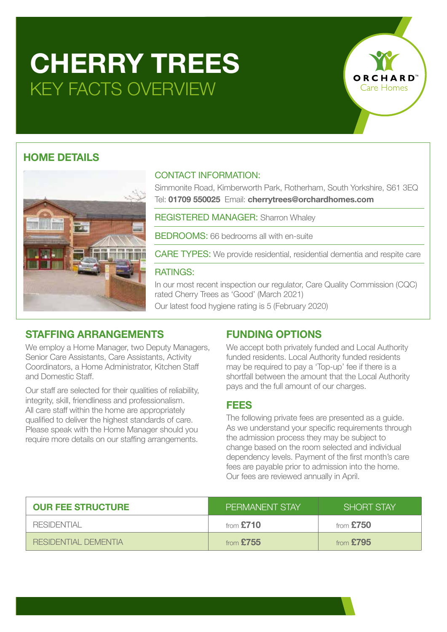# **CHERRY TREES** KEY FACTS OVERVIEW

## **HOME DETAILS**



### CONTACT INFORMATION:

Simmonite Road, Kimberworth Park, Rotherham, South Yorkshire, S61 3EQ Tel: **01709 550025** Email: **cherrytrees@orchardhomes.com**

ORCI

Care Homes

REGISTERED MANAGER: Sharron Whaley

BEDROOMS: 66 bedrooms all with en-suite

CARE TYPES: We provide residential, residential dementia and respite care

### RATINGS:

In our most recent inspection our regulator, Care Quality Commission (CQC) rated Cherry Trees as 'Good' (March 2021) Our latest food hygiene rating is 5 (February 2020)

## **STAFFING ARRANGEMENTS**

We employ a Home Manager, two Deputy Managers, Senior Care Assistants, Care Assistants, Activity Coordinators, a Home Administrator, Kitchen Staff and Domestic Staff.

Our staff are selected for their qualities of reliability, integrity, skill, friendliness and professionalism. All care staff within the home are appropriately qualified to deliver the highest standards of care. Please speak with the Home Manager should you require more details on our staffing arrangements.

## **FUNDING OPTIONS**

We accept both privately funded and Local Authority funded residents. Local Authority funded residents may be required to pay a 'Top-up' fee if there is a shortfall between the amount that the Local Authority pays and the full amount of our charges.

## **FEES**

The following private fees are presented as a guide. As we understand your specific requirements through the admission process they may be subject to change based on the room selected and individual dependency levels. Payment of the first month's care fees are payable prior to admission into the home. Our fees are reviewed annually in April.

| <b>OUR FEE STRUCTURE</b> | I PERMANENT STAY' | <b>SHORT STAY</b> |
|--------------------------|-------------------|-------------------|
| RESIDENTIAI              | from $£710$       | from $£750$       |
| RESIDENTIAI DEMENTIA     | from $£755$       | from $£795$       |